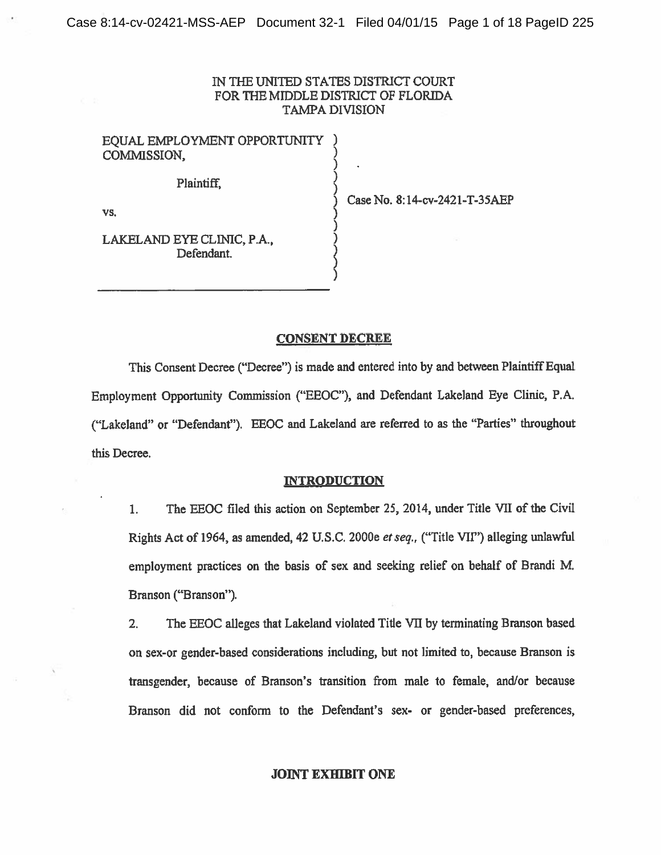#### IN THE UNITED STATES DISTRICT COURT FOR THE MIDDLE DISTRICT OF FLORIDA **TAMPA DIVISION**

EQUAL EMPLOYMENT OPPORTUNITY COMMISSION.

Plaintiff,

VS.

Case No. 8:14-cv-2421-T-35AEP

LAKELAND EYE CLINIC, P.A., Defendant.

#### **CONSENT DECREE**

This Consent Decree ("Decree") is made and entered into by and between Plaintiff Equal Employment Opportunity Commission ("EEOC"), and Defendant Lakeland Eye Clinic, P.A. ("Lakeland" or "Defendant"). EEOC and Lakeland are referred to as the "Parties" throughout this Decree.

#### **INTRODUCTION**

The EEOC filed this action on September 25, 2014, under Title VII of the Civil  $1.$ Rights Act of 1964, as amended, 42 U.S.C. 2000e et seq., ("Title VII") alleging unlawful employment practices on the basis of sex and seeking relief on behalf of Brandi M. Branson ("Branson").

The EEOC alleges that Lakeland violated Title VII by terminating Branson based  $2.$ on sex-or gender-based considerations including, but not limited to, because Branson is transgender, because of Branson's transition from male to female, and/or because Branson did not conform to the Defendant's sex- or gender-based preferences,

#### **JOINT EXHIBIT ONE**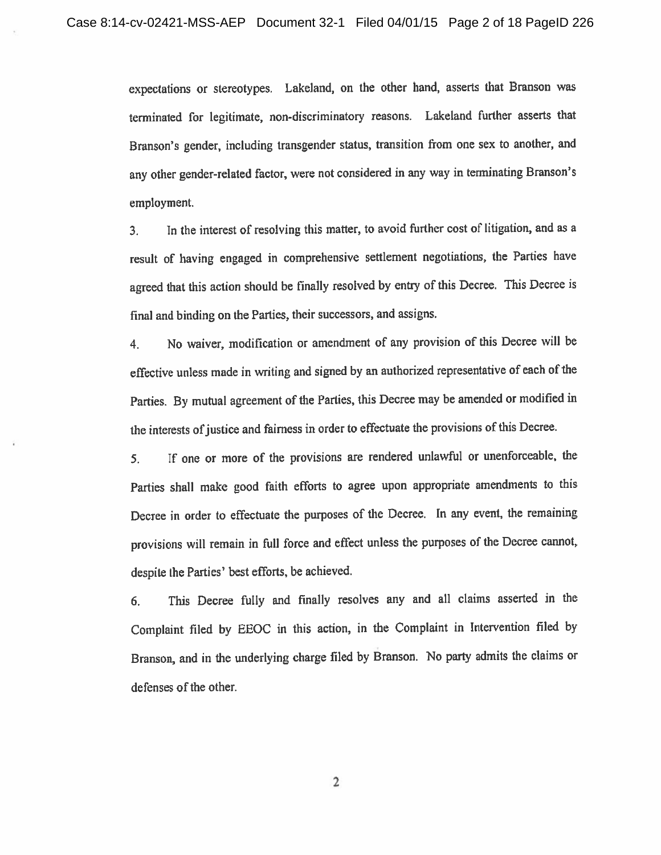expectations or stereotypes. Lakeland, on the other hand, asserts that Branson was terminated for legitimate, non-discriminatory reasons. Lakeland further asserts that Branson's gender, including transgender status, transition from one sex to another, and any other gender-related factor, were not considered in any way in terminating Branson's employment.

In the interest of resolving this matter, to avoid further cost of litigation, and as a 3. result of having engaged in comprehensive settlement negotiations, the Parties have agreed that this action should be finally resolved by entry of this Decree. This Decree is final and binding on the Parties, their successors, and assigns.

No waiver, modification or amendment of any provision of this Decree will be 4. effective unless made in writing and signed by an authorized representative of each of the Parties. By mutual agreement of the Parties, this Decree may be amended or modified in the interests of justice and fairness in order to effectuate the provisions of this Decree.

If one or more of the provisions are rendered unlawful or unenforceable, the 5. Parties shall make good faith efforts to agree upon appropriate amendments to this Decree in order to effectuate the purposes of the Decree. In any event, the remaining provisions will remain in full force and effect unless the purposes of the Decree cannot, despite the Parties' best efforts, be achieved.

This Decree fully and finally resolves any and all claims asserted in the 6. Complaint filed by EEOC in this action, in the Complaint in Intervention filed by Branson, and in the underlying charge filed by Branson. No party admits the claims or defenses of the other.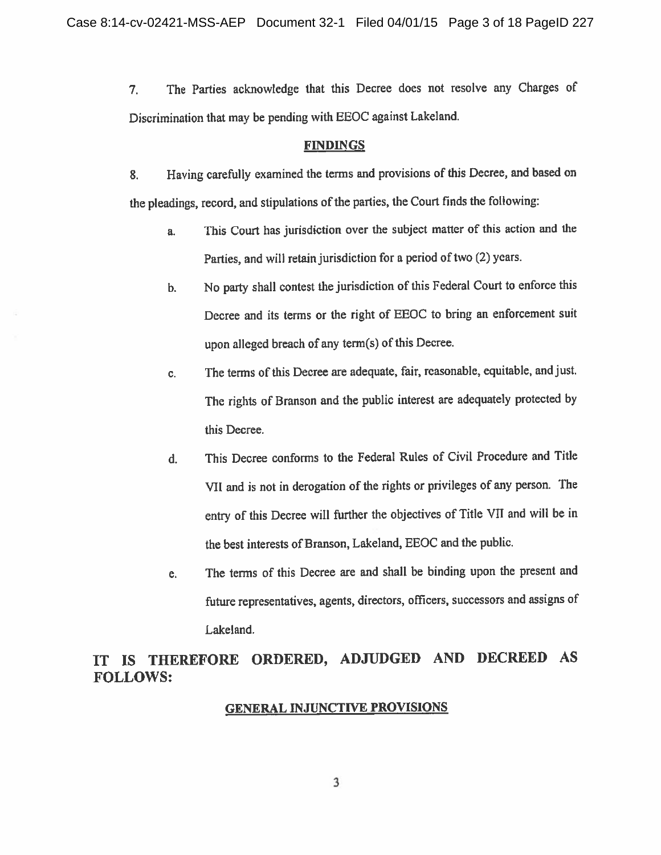The Parties acknowledge that this Decree does not resolve any Charges of  $7.$ Discrimination that may be pending with EEOC against Lakeland.

#### **FINDINGS**

Having carefully examined the terms and provisions of this Decree, and based on 8. the pleadings, record, and stipulations of the parties, the Court finds the following:

- This Court has jurisdiction over the subject matter of this action and the a. Parties, and will retain jurisdiction for a period of two (2) years.
- No party shall contest the jurisdiction of this Federal Court to enforce this b. Decree and its terms or the right of EEOC to bring an enforcement suit upon alleged breach of any term(s) of this Decree.
- The terms of this Decree are adequate, fair, reasonable, equitable, and just. c. The rights of Branson and the public interest are adequately protected by this Decree.
- This Decree conforms to the Federal Rules of Civil Procedure and Title d. VII and is not in derogation of the rights or privileges of any person. The entry of this Decree will further the objectives of Title VII and will be in the best interests of Branson, Lakeland, EEOC and the public.
- The terms of this Decree are and shall be binding upon the present and e. future representatives, agents, directors, officers, successors and assigns of Lakeland.

# IT IS THEREFORE ORDERED, ADJUDGED AND DECREED AS **FOLLOWS:**

## **GENERAL INJUNCTIVE PROVISIONS**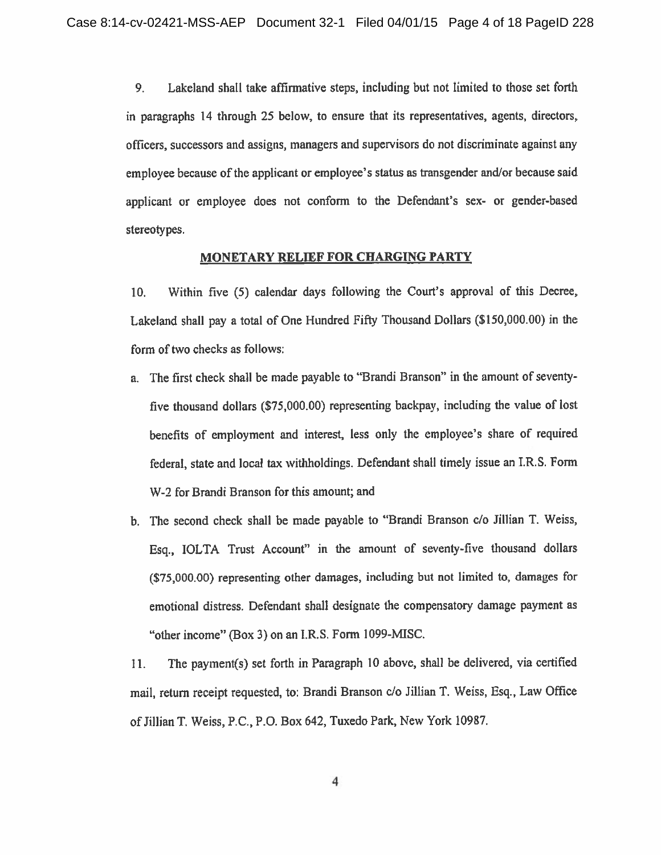9. Lakeland shall take affirmative steps, including but not limited to those set forth in paragraphs 14 through 25 below, to ensure that its representatives, agents, directors, officers, successors and assigns, managers and supervisors do not discriminate against any employee because of the applicant or employee's status as transgender and/or because said applicant or employee does not conform to the Defendant's sex- or gender-based stereotypes.

#### **MONETARY RELIEF FOR CHARGING PARTY**

Within five (5) calendar days following the Court's approval of this Decree, 10. Lakeland shall pay a total of One Hundred Fifty Thousand Dollars (\$150,000.00) in the form of two checks as follows:

- a. The first check shall be made payable to "Brandi Branson" in the amount of seventyfive thousand dollars (\$75,000.00) representing backpay, including the value of lost benefits of employment and interest, less only the employee's share of required federal, state and local tax withholdings. Defendant shall timely issue an I.R.S. Form W-2 for Brandi Branson for this amount; and
- b. The second check shall be made payable to "Brandi Branson c/o Jillian T. Weiss, Esq., IOLTA Trust Account" in the amount of seventy-five thousand dollars (\$75,000.00) representing other damages, including but not limited to, damages for emotional distress. Defendant shall designate the compensatory damage payment as "other income" (Box 3) on an I.R.S. Form 1099-MISC.

The payment(s) set forth in Paragraph 10 above, shall be delivered, via certified 11. mail, return receipt requested, to: Brandi Branson c/o Jillian T. Weiss, Esq., Law Office of Jillian T. Weiss, P.C., P.O. Box 642, Tuxedo Park, New York 10987.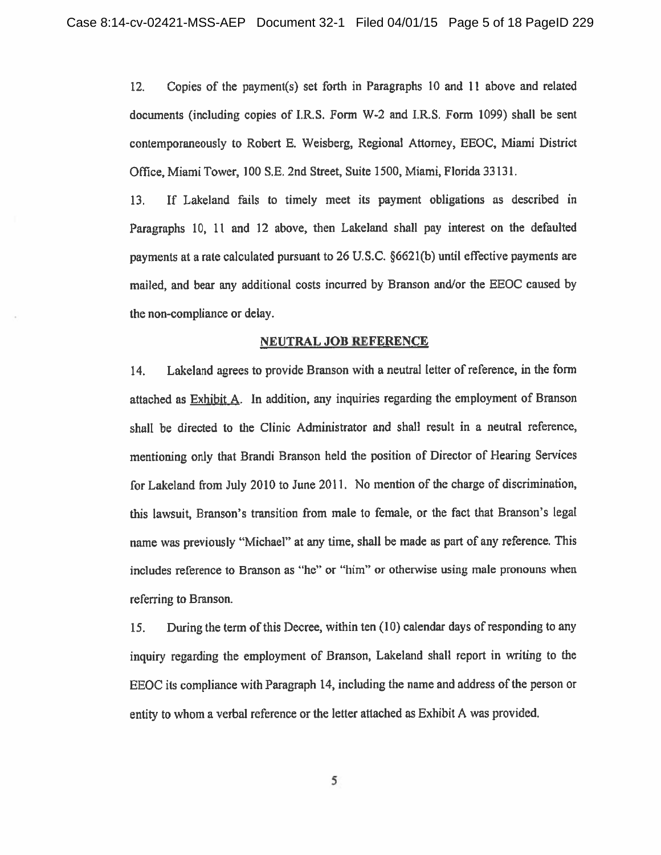Copies of the payment(s) set forth in Paragraphs 10 and 11 above and related 12. documents (including copies of I.R.S. Form W-2 and I.R.S. Form 1099) shall be sent contemporaneously to Robert E. Weisberg, Regional Attorney, EEOC, Miami District Office, Miami Tower, 100 S.E. 2nd Street, Suite 1500, Miami, Florida 33131.

If Lakeland fails to timely meet its payment obligations as described in 13. Paragraphs 10, 11 and 12 above, then Lakeland shall pay interest on the defaulted payments at a rate calculated pursuant to 26 U.S.C. §6621(b) until effective payments are mailed, and bear any additional costs incurred by Branson and/or the EEOC caused by the non-compliance or delay.

#### **NEUTRAL JOB REFERENCE**

Lakeland agrees to provide Branson with a neutral letter of reference, in the form 14. attached as Exhibit A. In addition, any inquiries regarding the employment of Branson shall be directed to the Clinic Administrator and shall result in a neutral reference, mentioning only that Brandi Branson held the position of Director of Hearing Services for Lakeland from July 2010 to June 2011. No mention of the charge of discrimination, this lawsuit, Branson's transition from male to female, or the fact that Branson's legal name was previously "Michael" at any time, shall be made as part of any reference. This includes reference to Branson as "he" or "him" or otherwise using male pronouns when referring to Branson.

During the term of this Decree, within ten (10) calendar days of responding to any 15. inquiry regarding the employment of Branson, Lakeland shall report in writing to the EEOC its compliance with Paragraph 14, including the name and address of the person or entity to whom a verbal reference or the letter attached as Exhibit A was provided.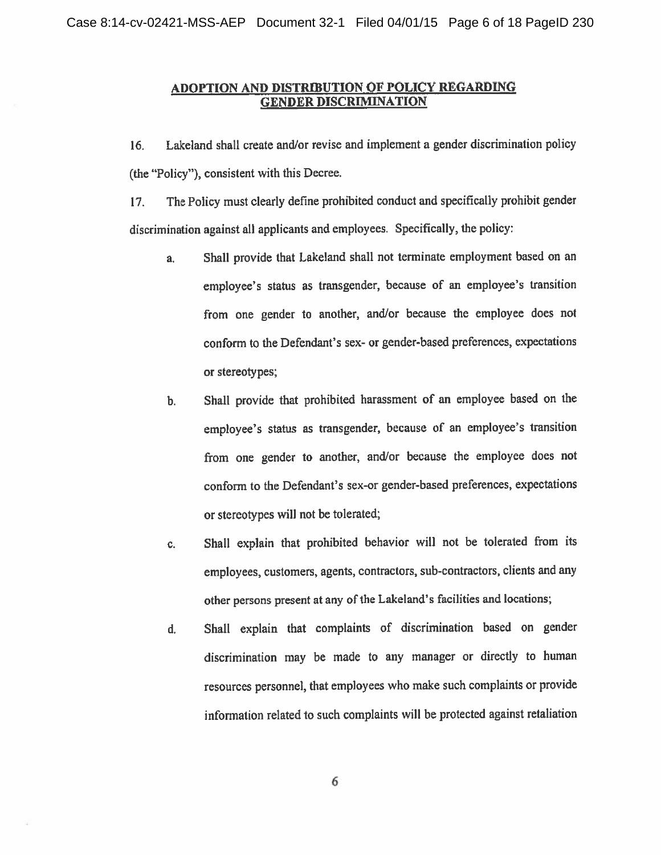### ADOPTION AND DISTRIBUTION OF POLICY REGARDING **GENDER DISCRIMINATION**

Lakeland shall create and/or revise and implement a gender discrimination policy 16. (the "Policy"), consistent with this Decree.

The Policy must clearly define prohibited conduct and specifically prohibit gender 17. discrimination against all applicants and employees. Specifically, the policy:

- Shall provide that Lakeland shall not terminate employment based on an  $a<sub>1</sub>$ employee's status as transgender, because of an employee's transition from one gender to another, and/or because the employee does not conform to the Defendant's sex- or gender-based preferences, expectations or stereotypes;
- Shall provide that prohibited harassment of an employee based on the  $\mathbf b$ . employee's status as transgender, because of an employee's transition from one gender to another, and/or because the employee does not conform to the Defendant's sex-or gender-based preferences, expectations or stereotypes will not be tolerated;
- Shall explain that prohibited behavior will not be tolerated from its c. employees, customers, agents, contractors, sub-contractors, clients and any other persons present at any of the Lakeland's facilities and locations;
- Shall explain that complaints of discrimination based on gender  $\mathbf{d}$ . discrimination may be made to any manager or directly to human resources personnel, that employees who make such complaints or provide information related to such complaints will be protected against retaliation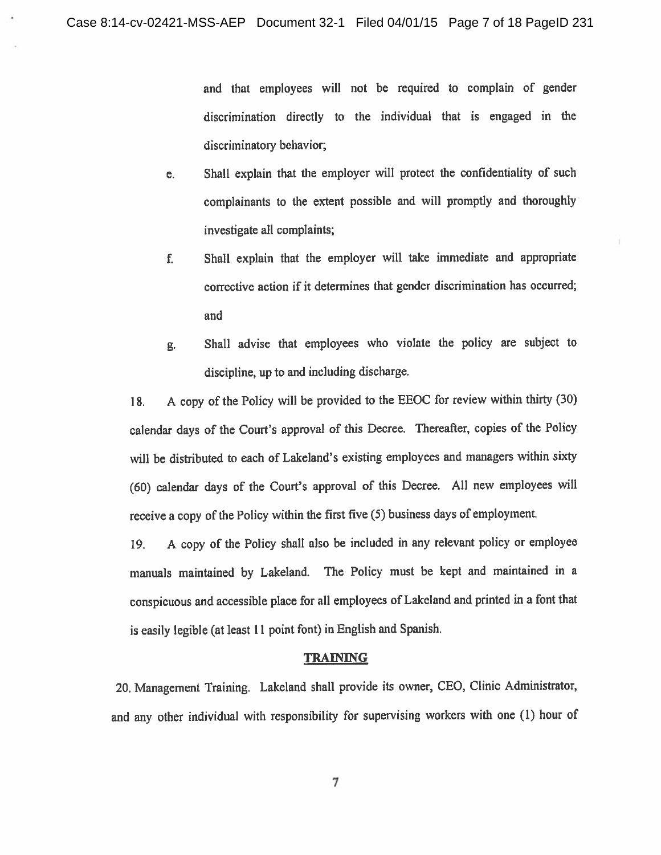and that employees will not be required to complain of gender discrimination directly to the individual that is engaged in the discriminatory behavior;

- Shall explain that the employer will protect the confidentiality of such e. complainants to the extent possible and will promptly and thoroughly investigate all complaints;
- Shall explain that the employer will take immediate and appropriate f. corrective action if it determines that gender discrimination has occurred; and
- Shall advise that employees who violate the policy are subject to g. discipline, up to and including discharge.

A copy of the Policy will be provided to the EEOC for review within thirty (30) 18. calendar days of the Court's approval of this Decree. Thereafter, copies of the Policy will be distributed to each of Lakeland's existing employees and managers within sixty (60) calendar days of the Court's approval of this Decree. All new employees will receive a copy of the Policy within the first five (5) business days of employment.

A copy of the Policy shall also be included in any relevant policy or employee 19. manuals maintained by Lakeland. The Policy must be kept and maintained in a conspicuous and accessible place for all employees of Lakeland and printed in a font that is easily legible (at least 11 point font) in English and Spanish.

#### **TRAINING**

20. Management Training. Lakeland shall provide its owner, CEO, Clinic Administrator, and any other individual with responsibility for supervising workers with one (1) hour of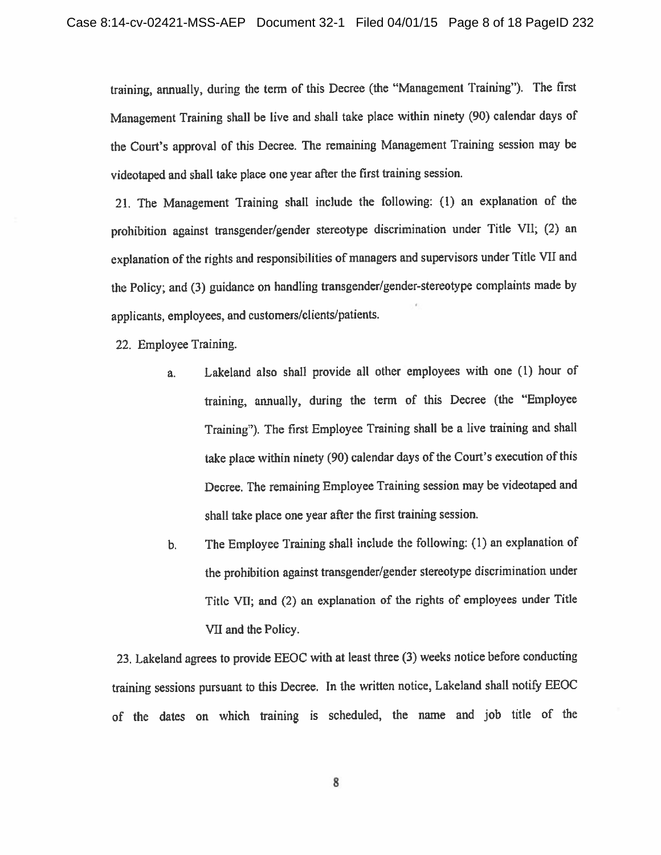training, annually, during the term of this Decree (the "Management Training"). The first Management Training shall be live and shall take place within ninety (90) calendar days of the Court's approval of this Decree. The remaining Management Training session may be videotaped and shall take place one year after the first training session.

21. The Management Training shall include the following: (1) an explanation of the prohibition against transgender/gender stereotype discrimination under Title VII; (2) an explanation of the rights and responsibilities of managers and supervisors under Title VII and the Policy; and (3) guidance on handling transgender/gender-stereotype complaints made by applicants, employees, and customers/clients/patients.

22. Employee Training.

- Lakeland also shall provide all other employees with one (1) hour of a. training, annually, during the term of this Decree (the "Employee" Training"). The first Employee Training shall be a live training and shall take place within ninety (90) calendar days of the Court's execution of this Decree. The remaining Employee Training session may be videotaped and shall take place one year after the first training session.
- The Employee Training shall include the following: (1) an explanation of b. the prohibition against transgender/gender stereotype discrimination under Title VII; and (2) an explanation of the rights of employees under Title VII and the Policy.

23. Lakeland agrees to provide EEOC with at least three (3) weeks notice before conducting training sessions pursuant to this Decree. In the written notice, Lakeland shall notify EEOC of the dates on which training is scheduled, the name and job title of the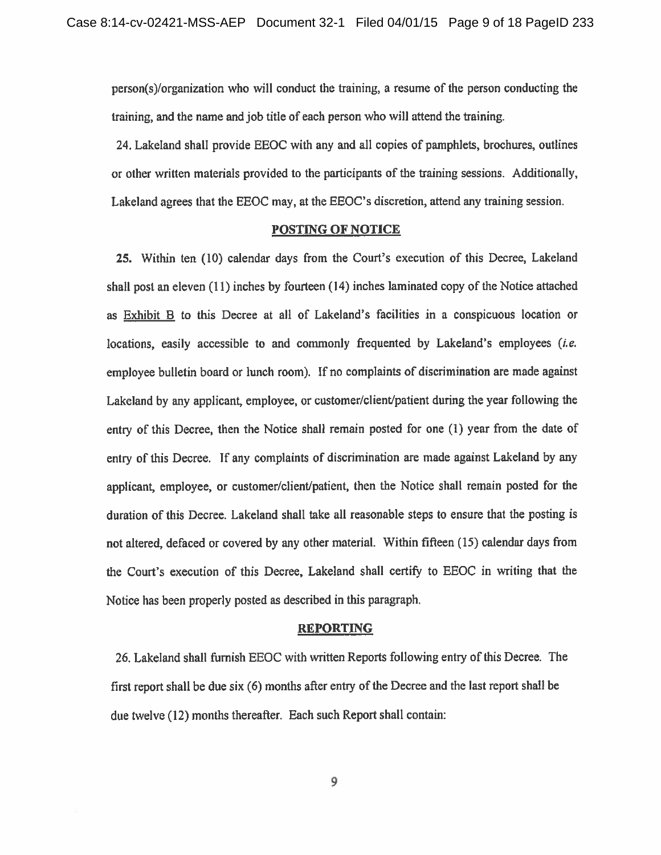$person(s)/organization$  who will conduct the training, a resume of the person conducting the training, and the name and job title of each person who will attend the training.

24. Lakeland shall provide EEOC with any and all copies of pamphlets, brochures, outlines or other written materials provided to the participants of the training sessions. Additionally, Lakeland agrees that the EEOC may, at the EEOC's discretion, attend any training session.

#### **POSTING OF NOTICE**

25. Within ten (10) calendar days from the Court's execution of this Decree, Lakeland shall post an eleven  $(11)$  inches by fourteen  $(14)$  inches laminated copy of the Notice attached as Exhibit B to this Decree at all of Lakeland's facilities in a conspicuous location or locations, easily accessible to and commonly frequented by Lakeland's employees *(i.e.*) employee bulletin board or lunch room). If no complaints of discrimination are made against Lakeland by any applicant, employee, or customer/client/patient during the year following the entry of this Decree, then the Notice shall remain posted for one (1) year from the date of entry of this Decree. If any complaints of discrimination are made against Lakeland by any applicant, employee, or customer/client/patient, then the Notice shall remain posted for the duration of this Decree. Lakeland shall take all reasonable steps to ensure that the posting is not altered, defaced or covered by any other material. Within fifteen (15) calendar days from the Court's execution of this Decree, Lakeland shall certify to EEOC in writing that the Notice has been properly posted as described in this paragraph.

#### **REPORTING**

26. Lakeland shall furnish EEOC with written Reports following entry of this Decree. The first report shall be due six (6) months after entry of the Decree and the last report shall be due twelve (12) months thereafter. Each such Report shall contain: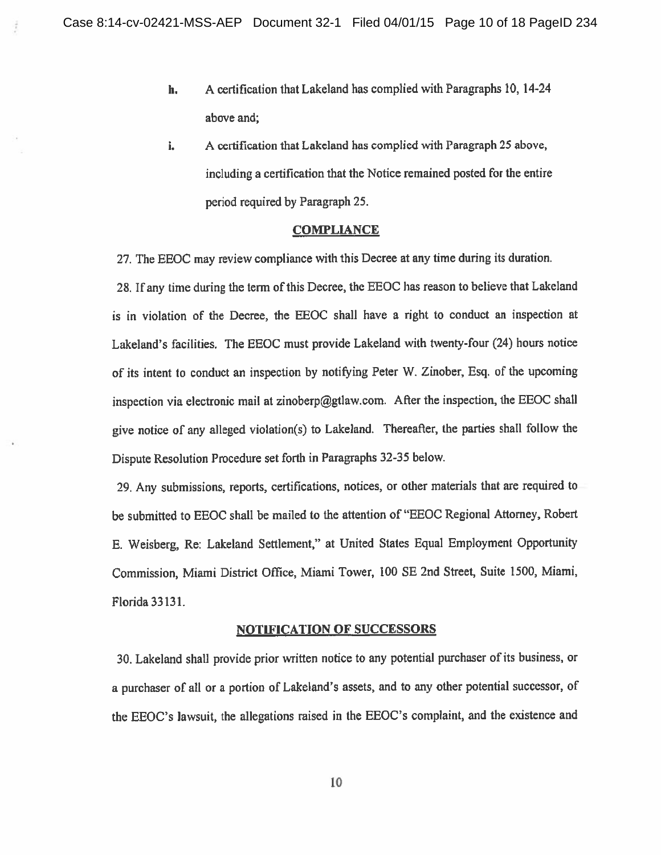- h, A certification that Lakeland has complied with Paragraphs 10, 14-24 above and;
- i. A certification that Lakeland has complied with Paragraph 25 above, including a certification that the Notice remained posted for the entire period required by Paragraph 25.

#### **COMPLIANCE**

27. The EEOC may review compliance with this Decree at any time during its duration. 28. If any time during the term of this Decree, the EEOC has reason to believe that Lakeland is in violation of the Decree, the EEOC shall have a right to conduct an inspection at Lakeland's facilities. The EEOC must provide Lakeland with twenty-four (24) hours notice of its intent to conduct an inspection by notifying Peter W. Zinober, Esq. of the upcoming inspection via electronic mail at zinoberp@gtlaw.com. After the inspection, the EEOC shall give notice of any alleged violation(s) to Lakeland. Thereafter, the parties shall follow the Dispute Resolution Procedure set forth in Paragraphs 32-35 below.

29. Any submissions, reports, certifications, notices, or other materials that are required to be submitted to EEOC shall be mailed to the attention of "EEOC Regional Attorney, Robert E. Weisberg, Re: Lakeland Settlement," at United States Equal Employment Opportunity Commission, Miami District Office, Miami Tower, 100 SE 2nd Street, Suite 1500, Miami, Florida 33131.

#### **NOTIFICATION OF SUCCESSORS**

30. Lakeland shall provide prior written notice to any potential purchaser of its business, or a purchaser of all or a portion of Lakeland's assets, and to any other potential successor, of the EEOC's lawsuit, the allegations raised in the EEOC's complaint, and the existence and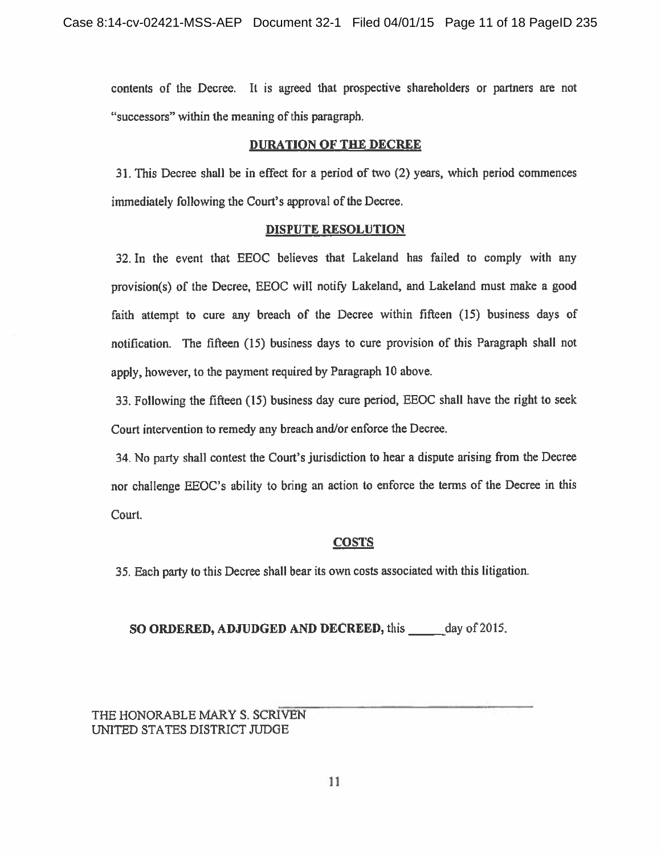contents of the Decree. It is agreed that prospective shareholders or partners are not "successors" within the meaning of this paragraph.

#### **DURATION OF THE DECREE**

31. This Decree shall be in effect for a period of two (2) years, which period commences immediately following the Court's approval of the Decree.

#### **DISPUTE RESOLUTION**

32. In the event that EEOC believes that Lakeland has failed to comply with any provision(s) of the Decree, EEOC will notify Lakeland, and Lakeland must make a good faith attempt to cure any breach of the Decree within fifteen (15) business days of notification. The fifteen (15) business days to cure provision of this Paragraph shall not apply, however, to the payment required by Paragraph 10 above.

33. Following the fifteen (15) business day cure period, EEOC shall have the right to seek Court intervention to remedy any breach and/or enforce the Decree.

34. No party shall contest the Court's jurisdiction to hear a dispute arising from the Decree nor challenge EEOC's ability to bring an action to enforce the terms of the Decree in this Court.

## **COSTS**

35. Each party to this Decree shall bear its own costs associated with this litigation.

## SO ORDERED, ADJUDGED AND DECREED, this \_\_\_\_\_ day of 2015.

THE HONORABLE MARY S. SCRIVEN UNITED STATES DISTRICT JUDGE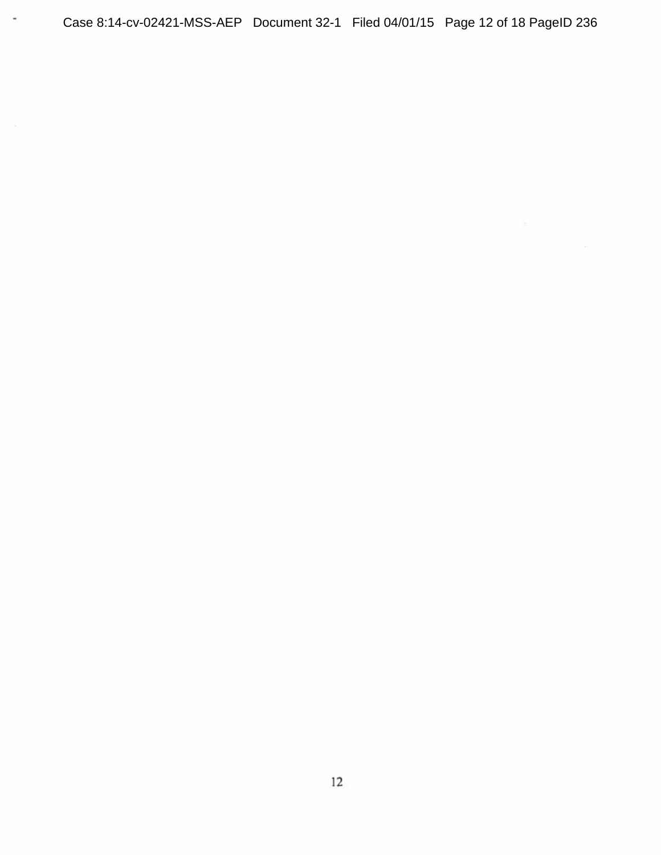Case 8:14-cv-02421-MSS-AEP Document 32-1 Filed 04/01/15 Page 12 of 18 PageID 236

죠

 $\tilde{\mathcal{C}}$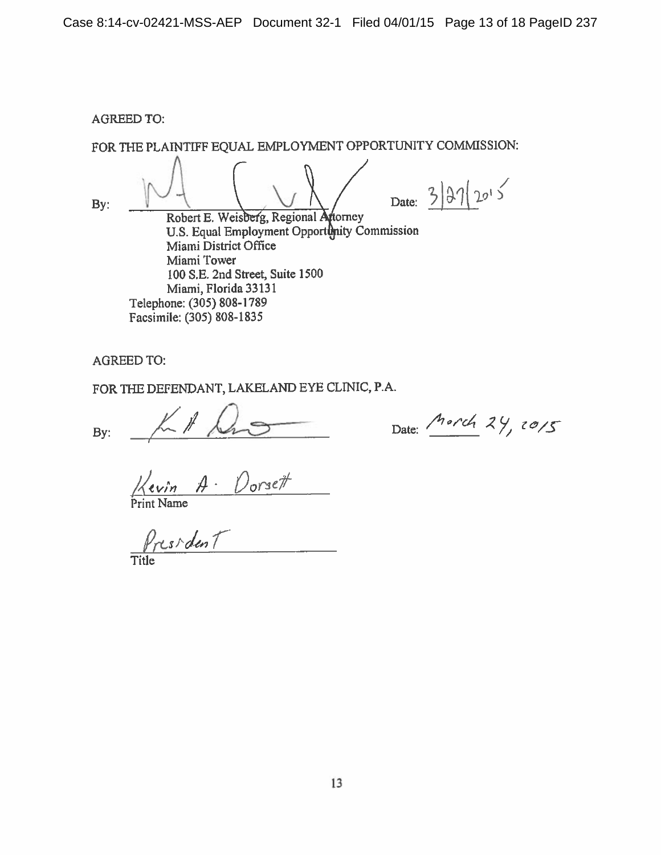Case 8:14-cv-02421-MSS-AEP Document 32-1 Filed 04/01/15 Page 13 of 18 PageID 237

**AGREED TO:** 

FOR THE PLAINTIFF EQUAL EMPLOYMENT OPPORTUNITY COMMISSION:

By:

Date: 3/27/2015

Robert E. Weisberg, Regional Artorney U.S. Equal Employment Opportunity Commission Miami District Office Miami Tower 100 S.E. 2nd Street, Suite 1500 Miami, Florida 33131 Telephone: (305) 808-1789 Facsimile: (305) 808-1835

**AGREED TO:** 

FOR THE DEFENDANT, LAKELAND EYE CLINIC, P.A.

By:

Date: Morch 24, 2015

 $U$ orse $#$ 

President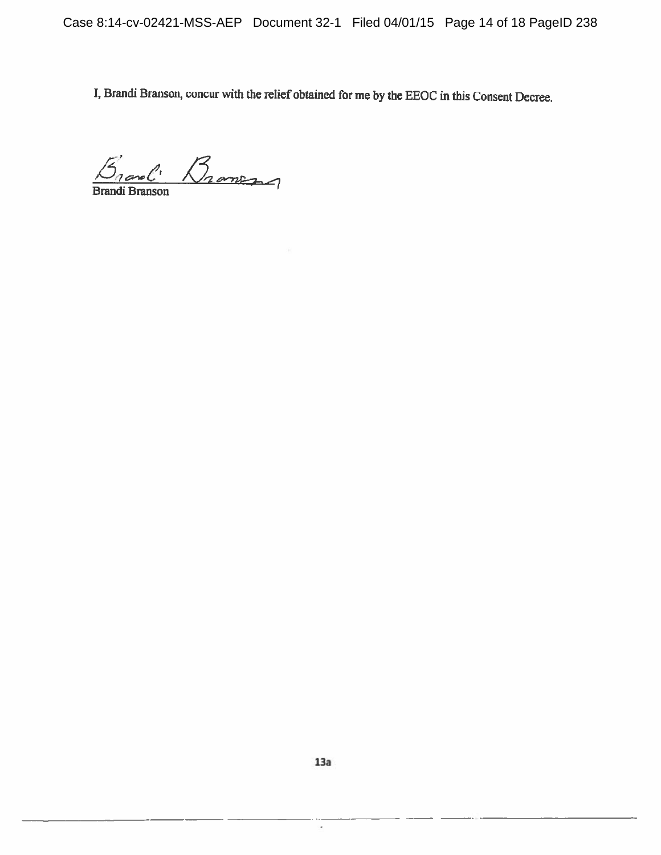I, Brandi Branson, concur with the relief obtained for me by the EEOC in this Consent Decree.

Brancl' Bramon

 $\overline{\phantom{a}}$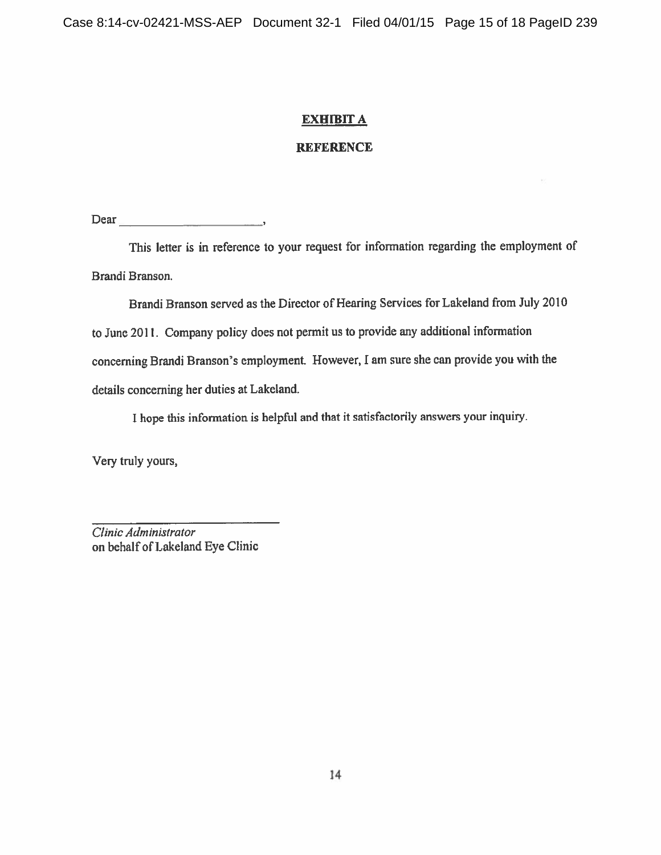## **EXHIBIT A**

## **REFERENCE**

 $\text{Dear}_{-}$   $\qquad \qquad \qquad \qquad \qquad \qquad \qquad$ 

This letter is in reference to your request for information regarding the employment of Brandi Branson.

Brandi Branson served as the Director of Hearing Services for Lakeland from July 2010 to June 2011. Company policy does not permit us to provide any additional information concerning Brandi Branson's employment. However, I am sure she can provide you with the details concerning her duties at Lakeland.

I hope this information is helpful and that it satisfactorily answers your inquiry.

Very truly yours,

Clinic Administrator on behalf of Lakeland Eye Clinic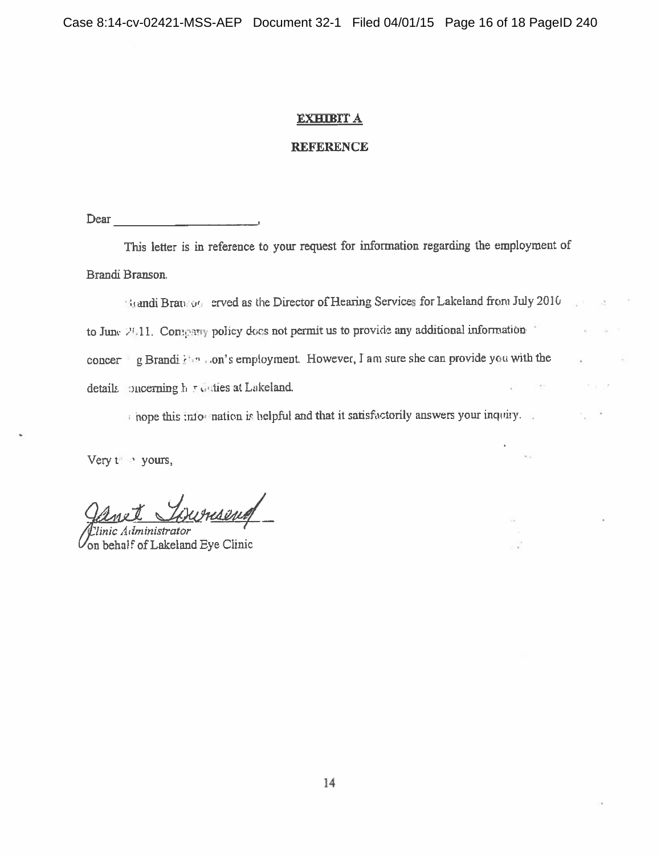### **EXHIBIT A**

#### **REFERENCE**

Dear

This letter is in reference to your request for information regarding the employment of Brandi Branson.

Brandi Brandon erved as the Director of Hearing Services for Lakeland from July 2016 to June 74.11. Company policy does not permit us to provide any additional information concer<sup>t i</sup> g Brandi *i*tin . on's employment. However, I am sure she can provide you with the ground see the company details oncerning h r duties at Lakeland.

**COLLECTION** 

hope this information is belpful and that it satisfactorily answers your inquiry.

Very the yours,

wrisenet

on behalf of Lakeland Eye Clinic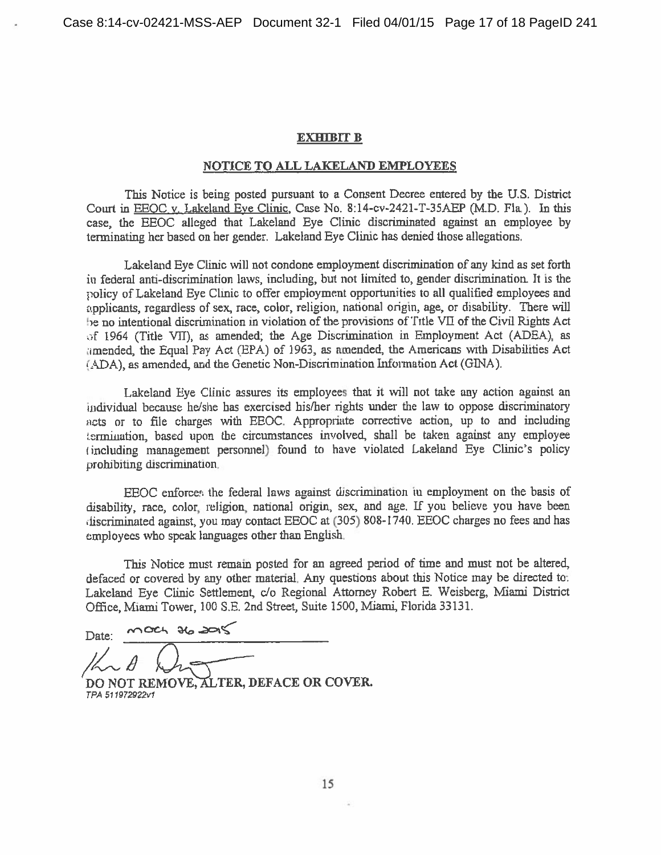#### **EXHIBIT B**

#### NOTICE TO ALL LAKELAND EMPLOYEES

This Notice is being posted pursuant to a Consent Decree entered by the U.S. District Court in EEOC v. Lakeland Eve Clinic, Case No. 8:14-cv-2421-T-35AEP (M.D. Fla.). In this case, the EEOC alleged that Lakeland Eye Clinic discriminated against an employee by terminating her based on her gender. Lakeland Eye Clinic has denied those allegations.

Lakeland Eve Clinic will not condone employment discrimination of any kind as set forth in federal anti-discrimination laws, including, but not limited to, gender discrimination. It is the policy of Lakeland Eye Clinic to offer employment opportunities to all qualified employees and applicants, regardless of sex, race, color, religion, national origin, age, or disability. There will be no intentional discrimination in violation of the provisions of Title VII of the Civil Rights Act of 1964 (Title VII), as amended; the Age Discrimination in Employment Act (ADEA), as amended, the Equal Pay Act (EPA) of 1963, as amended, the Americans with Disabilities Act (ADA), as amended, and the Genetic Non-Discrimination Information Act (GINA).

Lakeland Eye Clinic assures its employees that it will not take any action against an individual because he/she has exercised his/her rights under the law to oppose discriminatory acts or to file charges with EEOC. Appropriate corrective action, up to and including termination, based upon the circumstances involved, shall be taken against any employee (including management personnel) found to have violated Lakeland Eye Clinic's policy prohibiting discrimination.

EEOC enforces the federal laws against discrimination in employment on the basis of disability, race, color, religion, national origin, sex, and age. If you believe you have been discriminated against, you may contact EEOC at (305) 808-1740. EEOC charges no fees and has employees who speak languages other than English.

This Notice must remain posted for an agreed period of time and must not be altered, defaced or covered by any other material. Any questions about this Notice may be directed to: Lakeland Eve Clinic Settlement, c/o Regional Attorney Robert E. Weisberg, Miami District Office, Miami Tower, 100 S.E. 2nd Street, Suite 1500, Miami, Florida 33131.

 $m$ och als 2015 Date: DO NOT REMOVE, ALTER, DEFACE OR COVER.

TPA 511972922v1